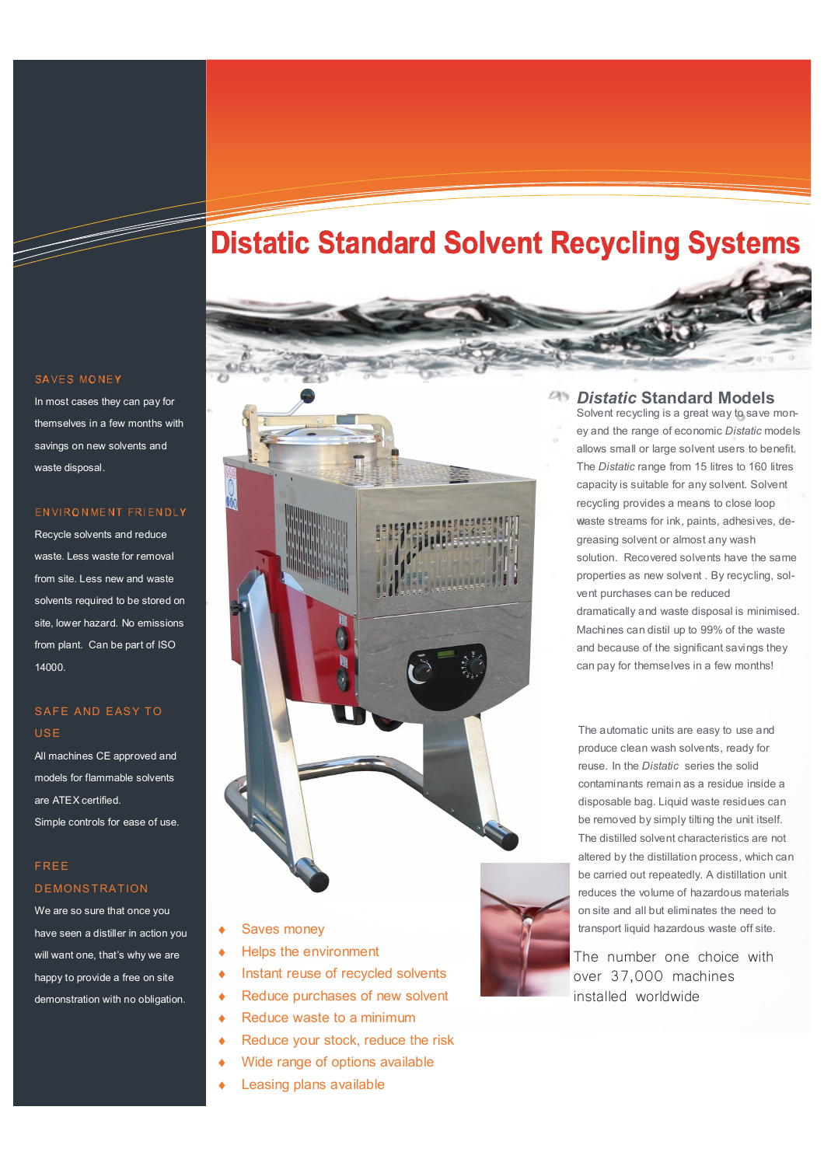# **Distatic Standard Solvent Recycling Systems**

#### SAVES MONEY

In most cases they can pay for themselves in a few months with savings on new solvents and waste disposal.

## ENVIRONMENT FRIENDLY

Recycle solvents and reduce waste. Less waste for removal from site. Less new and waste solvents required to be stored on site, lower hazard. No emissions from plant. Can be part of ISO 14000.

# SAFE AND EASY TO **USE**

All machines CE approved and models for flammable solvents are ATEX certified. Simple controls for ease of use.

# F RE E

## **DEMONSTRATION**

We are so sure that once you have seen a distiller in action you will want one, that's why we are happy to provide a free on site demonstration with no obligation.



- ◆ Saves money
- Helps the environment
- ♦ Instant reuse of recycled solvents
- ♦ Reduce purchases of new solvent
- Reduce waste to a minimum
- ♦ Reduce your stock, reduce the risk
- ♦ Wide range of options available
- Leasing plans available

# *Distatic* **Standard Models**

Solvent recycling is a great way to save money and the range of economic *Distatic* models allows small or large solvent users to benefit. The *Distatic* range from 15 litres to 160 litres capacity is suitable for any solvent. Solvent recycling provides a means to close loop waste streams for ink, paints, adhesives, degreasing solvent or almost any wash solution. Recovered solvents have the same properties as new solvent . By recycling, solvent purchases can be reduced dramatically and waste disposal is minimised. Machines can distil up to 99% of the waste and because of the significant savings they can pay for themselves in a few months!

The automatic units are easy to use and produce clean wash solvents, ready for reuse. In the *Distatic* series the solid contaminants remain as a residue inside a disposable bag. Liquid waste residues can be removed by simply tilting the unit itself. The distilled solvent characteristics are not altered by the distillation process, which can be carried out repeatedly. A distillation unit reduces the volume of hazardous materials on site and all but eliminates the need to transport liquid hazardous waste off site.

The number one choice with over 37,000 machines installed worldwide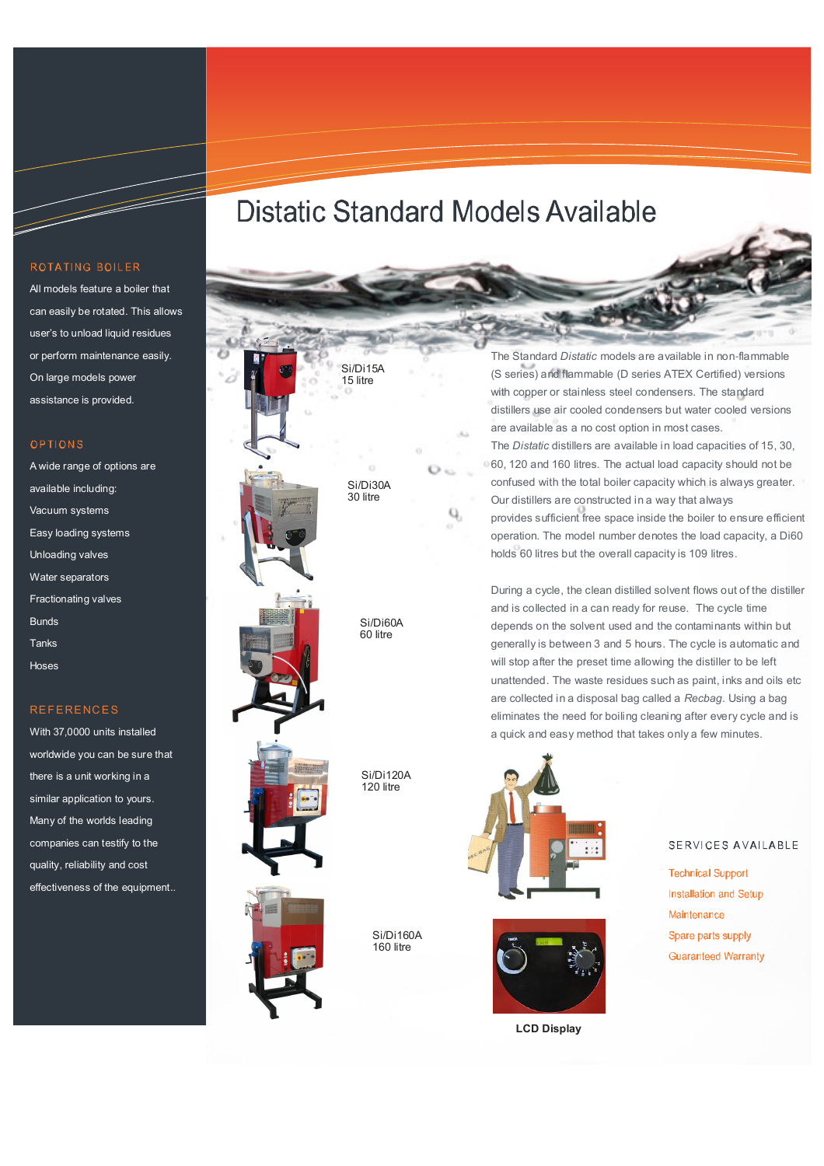# **Distatic Standard Models Available**

Q,

### ROTATING BOILER

All models feature a boiler that can easily be rotated. This allows user's to unload liquid residues or perform maintenance easily. On large models power assistance is provided.

#### OPTIONS

A wide range of options are available including: Vacuum systems Easy loading systems Unloading valves Water separators Fractionating valves Bunds Tanks Hoses

# **REFERENCES**

With 37,0000 units installed worldwide you can be sure that there is a unit working in a similar application to yours. Many of the worlds leading companies can testify to the quality, reliability and cost effectiveness of the equipment..



The Standard *Distatic* models are available in non-flammable (S series) and flammable (D series ATEX Certified) versions with copper or stainless steel condensers. The standard distillers use air cooled condensers but water cooled versions are available as a no cost option in most cases. The *Distatic* distillers are available in load capacities of 15, 30, 60, 120 and 160 litres. The actual load capacity should not be confused with the total boiler capacity which is always greater. Our distillers are constructed in a way that always provides sufficient free space inside the boiler to ensure efficient

operation. The model number denotes the load capacity, a Di60 holds 60 litres but the overall capacity is 109 litres.

During a cycle, the clean distilled solvent flows out of the distiller and is collected in a can ready for reuse. The cycle time depends on the solvent used and the contaminants within but generally is between 3 and 5 hours. The cycle is automatic and will stop after the preset time allowing the distiller to be left unattended. The waste residues such as paint, inks and oils etc are collected in a disposal bag called a *Recbag*. Using a bag eliminates the need for boiling cleaning after every cycle and is a quick and easy method that takes only a few minutes.





**LCD Display** 

## SERVICES AVAILABLE

**Technical Support** Installation and Setup Maintenance Spare parts supply **Guaranteed Warranty**